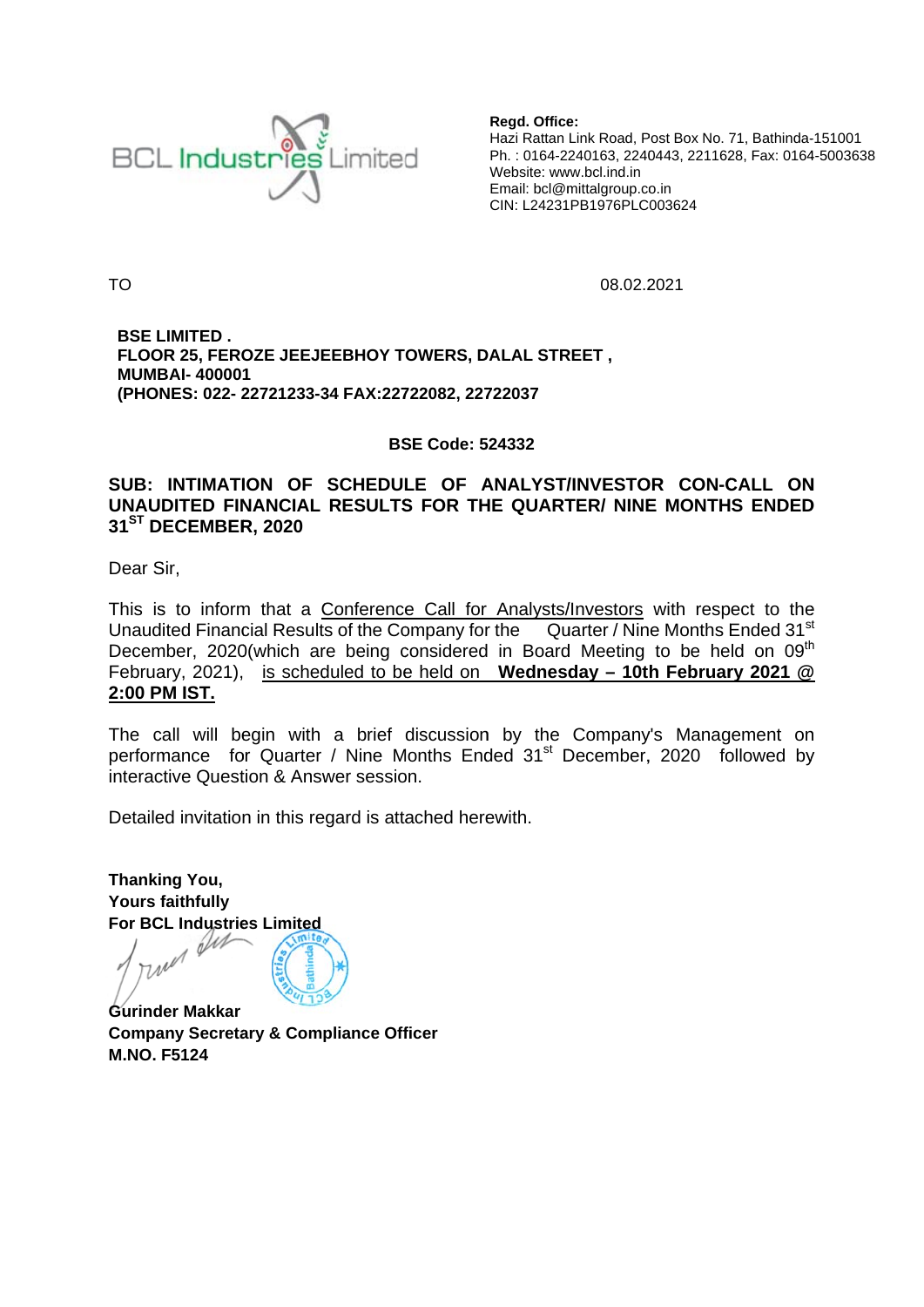

Regd. Office: Hazi Rattan Link Road, Post Box No. 71, Bathinda-151001 Ph.: 0164-2240163, 2240443, 2211628, Fax: 0164-5003638 Website: www.bcl.ind.in Email: bcl@mittalgroup.co.in CIN: L24231PB1976PLC003624

**TO** 

08.02.2021

**BSE LIMITED.** FLOOR 25, FEROZE JEEJEEBHOY TOWERS, DALAL STREET, **MUMBAI-400001** (PHONES: 022-22721233-34 FAX:22722082, 22722037

### **BSE Code: 524332**

## SUB: INTIMATION OF SCHEDULE OF ANALYST/INVESTOR CON-CALL ON UNAUDITED FINANCIAL RESULTS FOR THE QUARTER/ NINE MONTHS ENDED 31<sup>ST</sup> DECEMBER, 2020

Dear Sir.

This is to inform that a Conference Call for Analysts/Investors with respect to the Unaudited Financial Results of the Company for the Quarter / Nine Months Ended 31<sup>st</sup> December, 2020(which are being considered in Board Meeting to be held on 09<sup>th</sup> February, 2021), is scheduled to be held on Wednesday - 10th February 2021 @ 2:00 PM IST.

The call will begin with a brief discussion by the Company's Management on performance for Quarter / Nine Months Ended 31<sup>st</sup> December, 2020 followed by interactive Question & Answer session.

Detailed invitation in this regard is attached herewith.

**Thanking You, Yours faithfully For BCL Industries Limited** we Dir

**Gurinder Makkar Company Secretary & Compliance Officer M.NO. F5124**